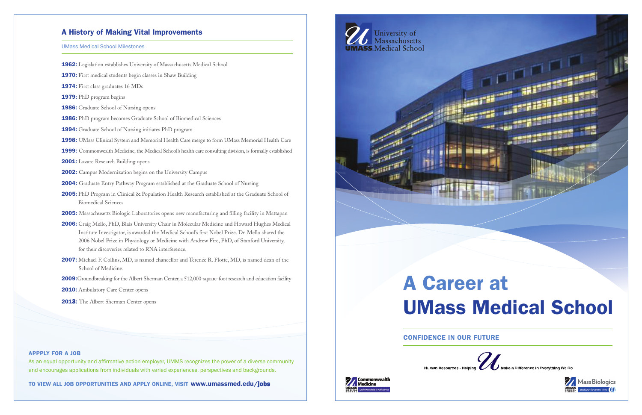

# UMass Medical School



**Mass Biologics** 

### Confidence in Our Future





## A History of Making Vital Improvements

### UMass Medical School Milestones

- 1962: Legislation establishes University of Massachusetts Medical School
- 1970: First medical students begin classes in Shaw Building
- 1974: First class graduates 16 MDs
- 1979: PhD program begins
- 1986: Graduate School of Nursing opens
- 1986: PhD program becomes Graduate School of Biomedical Sciences
- 1994: Graduate School of Nursing initiates PhD program
- 1998: UMass Clinical System and Memorial Health Care merge to form UMass Memorial Health Care
- 1999: Commonwealth Medicine, the Medical School's health care consulting division, is formally established
- 2001: Lazare Research Building opens
- 2002: Campus Modernization begins on the University Campus
- 2004: Graduate Entry Pathway Program established at the Graduate School of Nursing
- 2005: PhD Program in Clinical & Population Health Research established at the Graduate School of Biomedical Sciences
- 2005: Massachusetts Biologic Laboratories opens new manufacturing and filling facility in Mattapan
- 2006: Craig Mello, PhD, Blais University Chair in Molecular Medicine and Howard Hughes Medical Institute Investigator, is awarded the Medical School's first Nobel Prize. Dr. Mello shared the 2006 Nobel Prize in Physiology or Medicine with Andrew Fire, PhD, of Stanford University, for their discoveries related to RNA interference.
- 2007: Michael F. Collins, MD, is named chancellor and Terence R. Flotte, MD, is named dean of the School of Medicine.

2009: Groundbreaking for the Albert Sherman Center, a 512,000-square-foot research and education facility

2010: Ambulatory Care Center opens

2013: The Albert Sherman Center opens

#### Appply for a job

As an equal opportunity and affirmative action employer, UMMS recognizes the power of a diverse community and encourages applications from individuals with varied experiences, perspectives and backgrounds.

to View All job opportUnitieS And Apply online, ViSit www.umassmed.edu/jobs

# University of<br>Massachusetts **UMASS.** Medical School